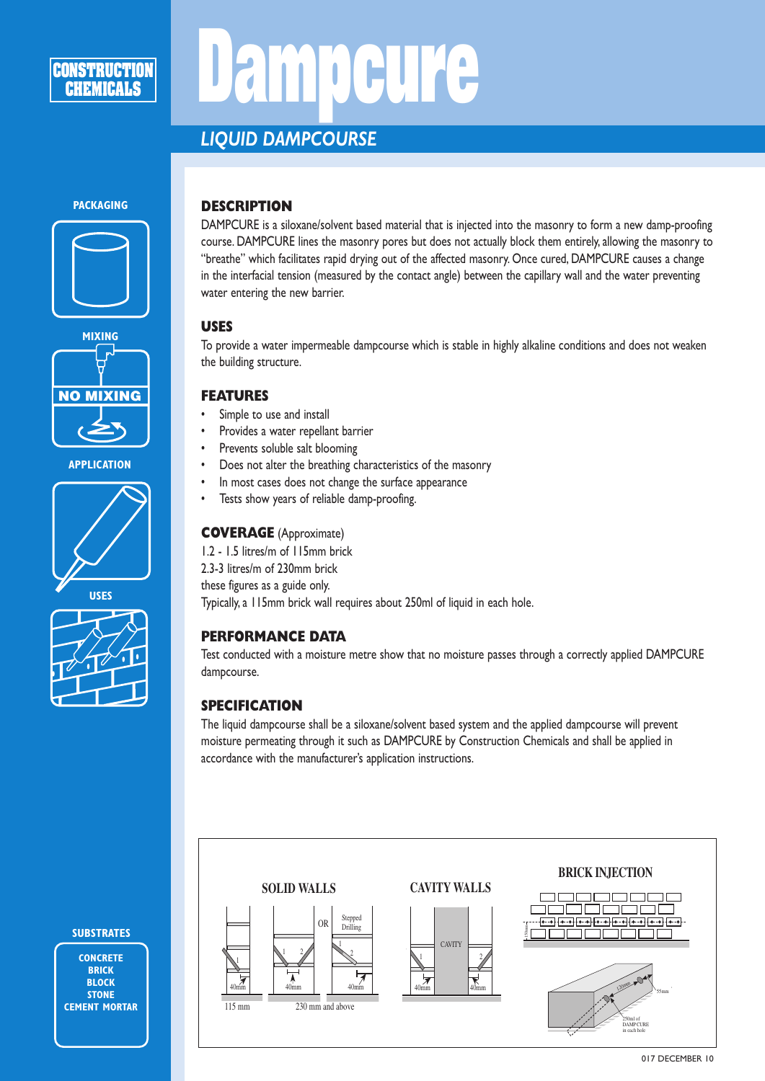# **DELL'E**

# *LIQUID DAMPCOURSE*

#### **PACKAGING**





**APPLICATION**





# **SUBSTRATES**

**CONCRETE BRICK BLOCK STONE CEMENT MORTAR**

## **DESCRIPTION**

DAMPCURE is a siloxane/solvent based material that is injected into the masonry to form a new damp-proofing course. DAMPCURE lines the masonry pores but does not actually block them entirely, allowing the masonry to "breathe" which facilitates rapid drying out of the affected masonry. Once cured, DAMPCURE causes a change in the interfacial tension (measured by the contact angle) between the capillary wall and the water preventing water entering the new barrier.

#### **USES**

To provide a water impermeable dampcourse which is stable in highly alkaline conditions and does not weaken the building structure.

#### **FEATURES**

- Simple to use and install
- Provides a water repellant barrier
- Prevents soluble salt blooming
- Does not alter the breathing characteristics of the masonry
- In most cases does not change the surface appearance
- Tests show years of reliable damp-proofing.

#### **COVERAGE** (Approximate)

1.2 - 1.5 litres/m of 115mm brick 2.3-3 litres/m of 230mm brick these figures as a guide only. Typically, a 115mm brick wall requires about 250ml of liquid in each hole.

#### **PERFORMANCE DATA**

Test conducted with a moisture metre show that no moisture passes through a correctly applied DAMPCURE dampcourse. pplied D<sub>/</sub> 40mm 40mm 40mm

## **SPECIFICATION**

The liquid dampcourse shall be a siloxane/solvent based system and the applied dampcourse will prevent Include dampeonse shall be a shokalic solvent based system and are applied dampeonse will prever<br>moisture permeating through it such as DAMPCURE by Construction Chemicals and shall be applied in accordance with the manufacturer's application instructions. OR Stepped dampcourse v<br>and shall be<br> ampcourse wil<br>and shall be ap<br>and shall be applicant to the same of the same of the same of the same of the same of the same of the same of the same of the same of the same of the same of the same of the same of the same o